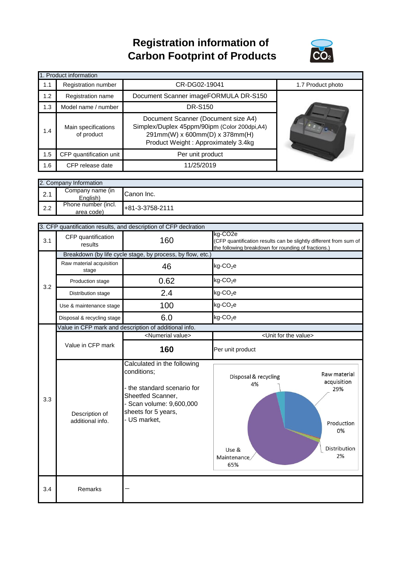## **Registration information of Carbon Footprint of Products**



|     | 1. Product information            |                                                                                                                                                              |                   |
|-----|-----------------------------------|--------------------------------------------------------------------------------------------------------------------------------------------------------------|-------------------|
| 1.1 | Registration number               | CR-DG02-19041                                                                                                                                                | 1.7 Product photo |
| 1.2 | Registration name                 | Document Scanner imageFORMULA DR-S150                                                                                                                        |                   |
| 1.3 | Model name / number               | <b>DR-S150</b>                                                                                                                                               |                   |
| 1.4 | Main specifications<br>of product | Document Scanner (Document size A4)<br>Simplex/Duplex 45ppm/90ipm (Color 200dpi,A4)<br>291mm(W) x 600mm(D) x 378mm(H)<br>Product Weight: Approximately 3.4kg |                   |
| 1.5 | CFP quantification unit           | Per unit product                                                                                                                                             |                   |
| 1.6 | CFP release date                  | 11/25/2019                                                                                                                                                   |                   |

|     | 2. Company Information            |                   |
|-----|-----------------------------------|-------------------|
| 2.1 | Company name (in<br>English)      | Canon Inc.        |
| 2.2 | Phone number (incl.<br>area code) | $+81-3-3758-2111$ |

|     |                                    | 3. CFP quantification results, and description of CFP declration                                                                                            |                                                                                                                                                 |
|-----|------------------------------------|-------------------------------------------------------------------------------------------------------------------------------------------------------------|-------------------------------------------------------------------------------------------------------------------------------------------------|
| 3.1 | CFP quantification<br>results      | 160                                                                                                                                                         | kg-CO <sub>2e</sub><br>(CFP quantification results can be slightly different from sum of<br>the following breakdown for rounding of fractions.) |
|     |                                    | Breakdown (by life cycle stage, by process, by flow, etc.)                                                                                                  |                                                                                                                                                 |
|     | Raw material acquisition<br>stage  | 46                                                                                                                                                          | $kg$ -CO <sub>2</sub> e                                                                                                                         |
| 3.2 | Production stage                   | 0.62                                                                                                                                                        | $kg$ -CO <sub>2</sub> e                                                                                                                         |
|     | Distribution stage                 | 2.4                                                                                                                                                         | $kg$ -CO <sub>2</sub> e                                                                                                                         |
|     | Use & maintenance stage            | 100                                                                                                                                                         | $kg$ -CO <sub>2</sub> e                                                                                                                         |
|     | Disposal & recycling stage         | 6.0                                                                                                                                                         | $kg$ -CO <sub>2</sub> e                                                                                                                         |
|     |                                    | Value in CFP mark and description of additional info.                                                                                                       |                                                                                                                                                 |
|     |                                    | <numerial value=""></numerial>                                                                                                                              | <unit for="" the="" value=""></unit>                                                                                                            |
|     | Value in CFP mark                  | 160                                                                                                                                                         | Per unit product                                                                                                                                |
| 3.3 | Description of<br>additional info. | Calculated in the following<br>conditions;<br>the standard scenario for<br>Sheetfed Scanner,<br>Scan volume: 9,600,000<br>sheets for 5 years,<br>US market, | Raw material<br>Disposal & recycling<br>acquisition<br>4%<br>29%<br>Production<br>0%<br>Distribution<br>Use &<br>2%<br>Maintenance<br>65%       |
| 3.4 | Remarks                            |                                                                                                                                                             |                                                                                                                                                 |